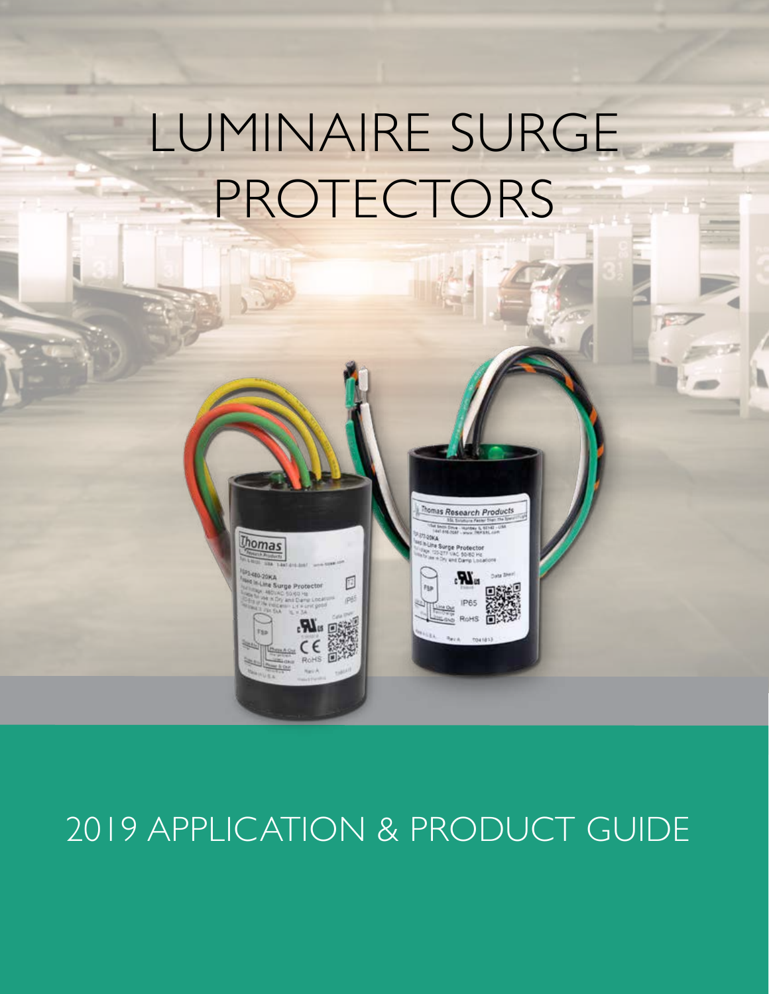# LUMINAIRE SURGE PROTECTORS

homas Research Products



## 2019 APPLICATION & PRODUCT GUIDE

**Thomas**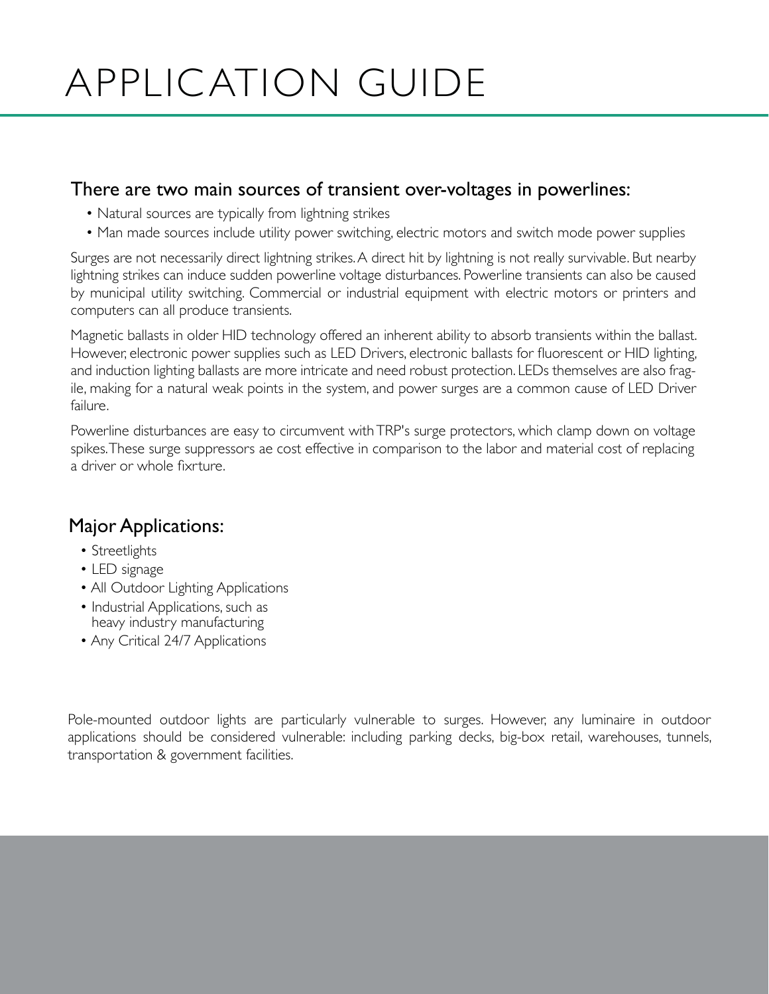# APPLICATION GUIDE

#### There are two main sources of transient over-voltages in powerlines:

- Natural sources are typically from lightning strikes
- Man made sources include utility power switching, electric motors and switch mode power supplies

Surges are not necessarily direct lightning strikes. A direct hit by lightning is not really survivable. But nearby lightning strikes can induce sudden powerline voltage disturbances. Powerline transients can also be caused by municipal utility switching. Commercial or industrial equipment with electric motors or printers and computers can all produce transients.

Magnetic ballasts in older HID technology offered an inherent ability to absorb transients within the ballast. However, electronic power supplies such as LED Drivers, electronic ballasts for fluorescent or HID lighting, and induction lighting ballasts are more intricate and need robust protection. LEDs themselves are also fragile, making for a natural weak points in the system, and power surges are a common cause of LED Driver failure.

Powerline disturbances are easy to circumvent with TRP's surge protectors, which clamp down on voltage spikes. These surge suppressors ae cost effective in comparison to the labor and material cost of replacing a driver or whole fixrture.

#### Major Applications:

- Streetlights
- LED signage
- All Outdoor Lighting Applications
- Industrial Applications, such as heavy industry manufacturing
- Any Critical 24/7 Applications

Pole-mounted outdoor lights are particularly vulnerable to surges. However, any luminaire in outdoor applications should be considered vulnerable: including parking decks, big-box retail, warehouses, tunnels, transportation & government facilities.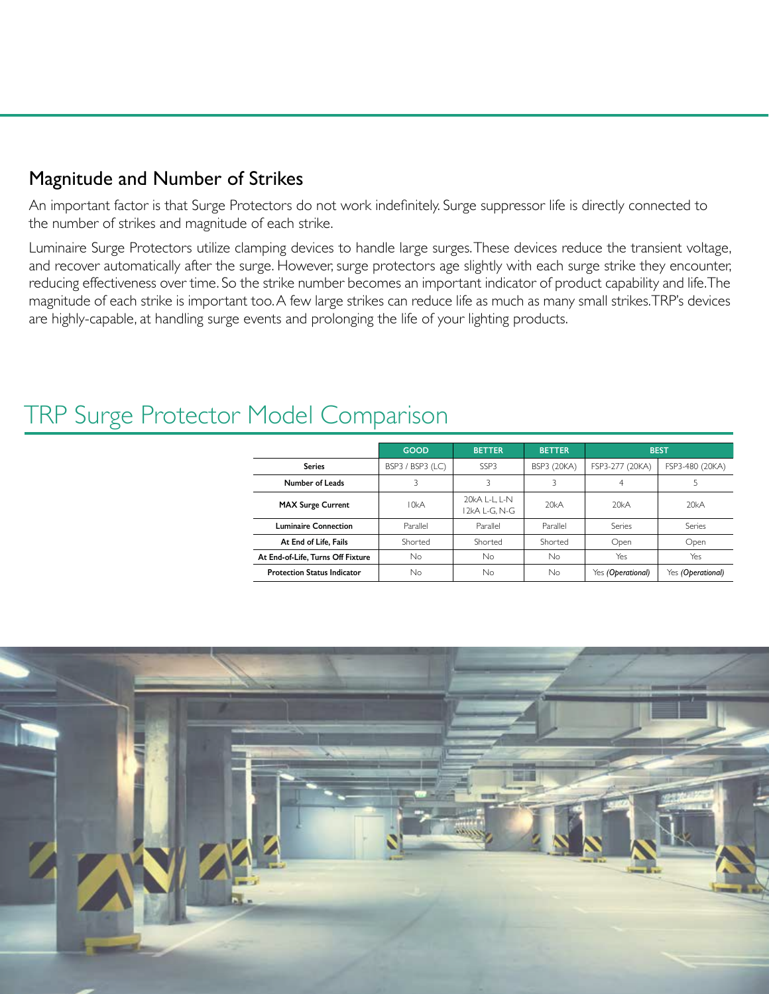#### Magnitude and Number of Strikes

An important factor is that Surge Protectors do not work indefinitely. Surge suppressor life is directly connected to the number of strikes and magnitude of each strike.

Luminaire Surge Protectors utilize clamping devices to handle large surges. These devices reduce the transient voltage, and recover automatically after the surge. However, surge protectors age slightly with each surge strike they encounter, reducing effectiveness over time. So the strike number becomes an important indicator of product capability and life. The magnitude of each strike is important too. A few large strikes can reduce life as much as many small strikes. TRP's devices are highly-capable, at handling surge events and prolonging the life of your lighting products.

#### **GOOD BETTER BETTER BEST Series** BSP3 / BSP3 (LC) SSP3 BSP3 (20KA) FSP3-277 (20KA) FSP3-480 (20KA) **Number of Leads** 3 3 3 3 4 4 5 **MAX Surge Current** 10kA 20kA L-L, L-N 20kA 20kA 20kA 20kA 20kA **Luminaire Connection Parallel Parallel Parallel Parallel Series** Series **At End of Life, Fails** Shorted Shorted Shorted Open Open **At End-of-Life, Turns Off Fixture** No No No Yes Yes **Protection Status Indicator** No No No Yes *(Operational)* Yes *(Operational)*

### TRP Surge Protector Model Comparison

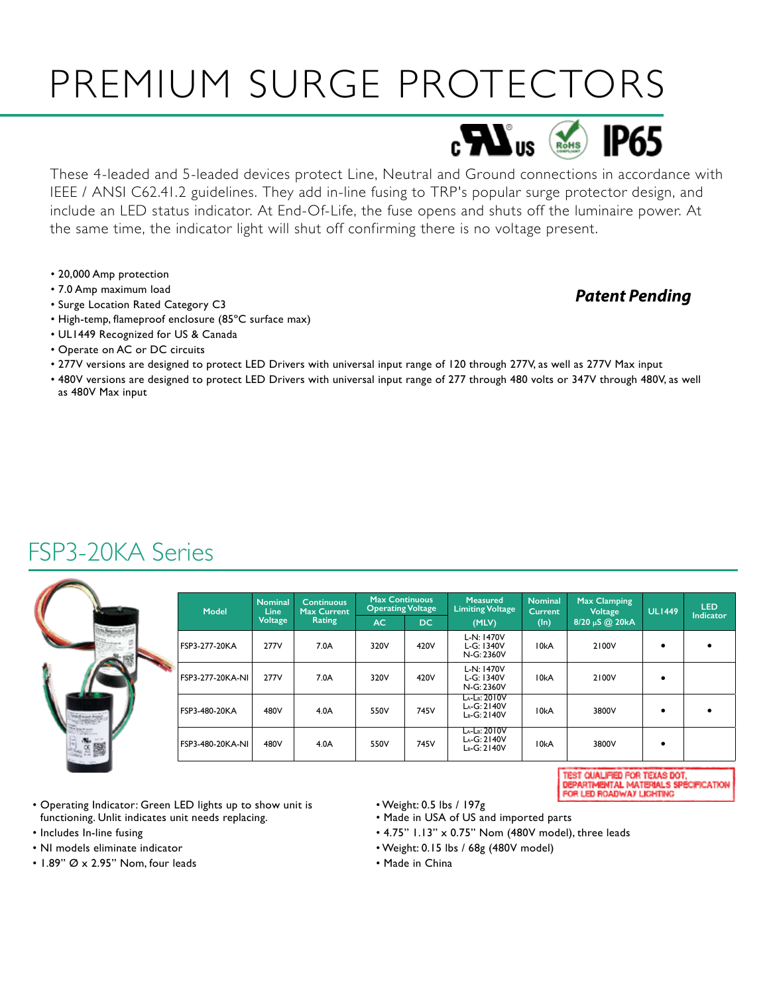# PREMIUM SURGE PROTECTORS



These 4-leaded and 5-leaded devices protect Line, Neutral and Ground connections in accordance with IEEE / ANSI C62.41.2 guidelines. They add in-line fusing to TRP's popular surge protector design, and include an LED status indicator. At End-Of-Life, the fuse opens and shuts off the luminaire power. At the same time, the indicator light will shut off confirming there is no voltage present.

- 20,000 Amp protection
- 7.0 Amp maximum load
- Surge Location Rated Category C3
- High-temp, flameproof enclosure (85ºC surface max)
- UL1449 Recognized for US & Canada
- Operate on AC or DC circuits
- 277V versions are designed to protect LED Drivers with universal input range of 120 through 277V, as well as 277V Max input
- 480V versions are designed to protect LED Drivers with universal input range of 277 through 480 volts or 347V through 480V, as well as 480V Max input

### FSP3-20KA Series



| Model            | <b>Nominal</b><br><b>Line</b><br><b>Voltage</b> | <b>Continuous</b><br>Max Current<br>Rating | <b>Max Continuous</b><br><b>Operating Voltage</b> |      | <b>Measured</b><br><b>Limiting Voltage</b>       | <b>Nominal</b><br><b>Current</b> | <b>Max Clamping</b><br>Voltage | <b>UL1449</b> | <b>LED</b>       |
|------------------|-------------------------------------------------|--------------------------------------------|---------------------------------------------------|------|--------------------------------------------------|----------------------------------|--------------------------------|---------------|------------------|
|                  |                                                 |                                            | AC.                                               | DC.  | (MLV)                                            | $(\ln)$                          | 8/20 µS @ 20kA                 |               | <b>Indicator</b> |
| FSP3-277-20KA    | 277V                                            | 7.0A                                       | 320V                                              | 420V | L-N: 1470V<br>L-G: 1340V<br>N-G: 2360V           | 10kA                             | 2100V                          |               |                  |
| FSP3-277-20KA-NI | 277V                                            | 7.0A                                       | 320V                                              | 420V | L-N: 1470V<br>L-G: 1340V<br>N-G: 2360V           | 10kA                             | 2100V                          |               |                  |
| FSP3-480-20KA    | 480V                                            | 4.0A                                       | 550V                                              | 745V | LA-LR: 2010V<br>LA-G: 2140V<br>LB-G: 2140V       | 10kA                             | 3800V                          |               |                  |
| FSP3-480-20KA-NI | 480V                                            | 4.0A                                       | 550V                                              | 745V | $La-LB: 2010V$<br>$La-G:2140V$<br>$L_B-G: 2140V$ | 10kA                             | 3800V                          |               |                  |

TEST QUALIFIED FOR TEXAS DOT, DEPARTMENTAL MATERIALS SPÉCIFICATION<br>FOR LED ROADWAY LIGHTING

*Patent Pending*

- Operating Indicator: Green LED lights up to show unit is functioning. Unlit indicates unit needs replacing.
- Includes In-line fusing
- NI models eliminate indicator
- $\cdot$  1.89"  $\varnothing$  x 2.95" Nom, four leads
- Weight: 0.5 lbs / 197g
- Made in USA of US and imported parts
- 4.75" 1.13" x 0.75" Nom (480V model), three leads
- Weight: 0.15 lbs / 68g (480V model)
- Made in China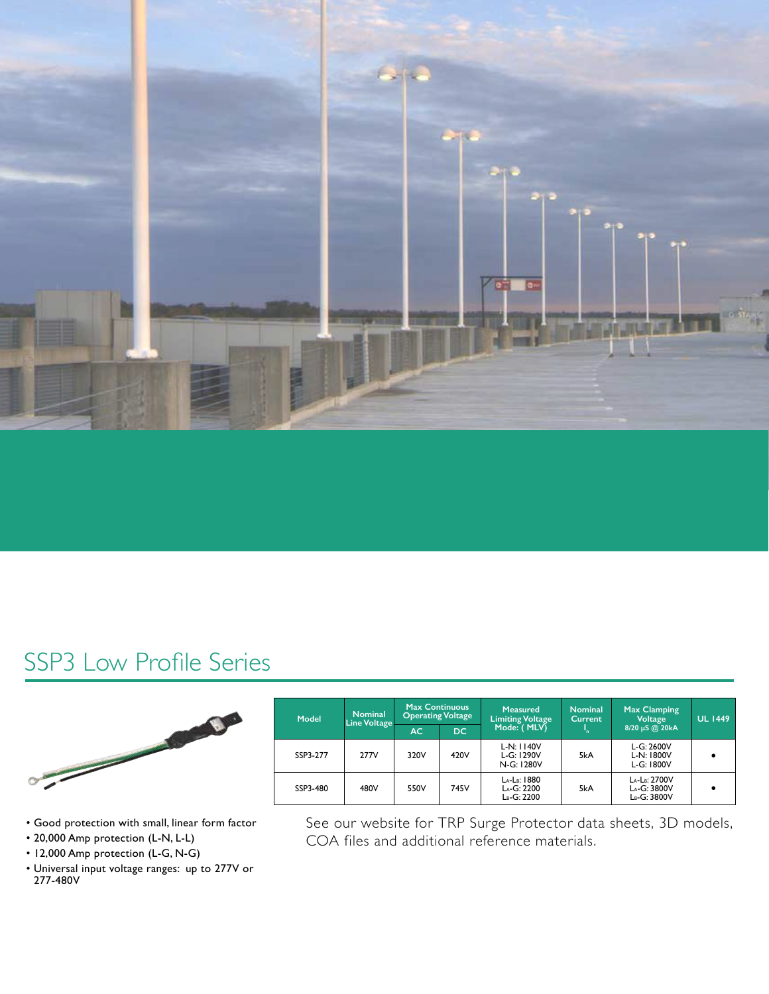

### SSP3 Low Profile Series



| Model    | <b>Nominal</b><br>Line Voltage | <b>Max Continuous</b><br><b>Operating Voltage</b> |      | <b>Measured</b><br><b>Limiting Voltage</b> | <b>Nominal</b><br>Current | <b>Max Clamping</b><br>Voltage             | <b>UL 1449</b> |  |
|----------|--------------------------------|---------------------------------------------------|------|--------------------------------------------|---------------------------|--------------------------------------------|----------------|--|
|          |                                | AC                                                | DC.  | Mode: (MLV)                                |                           | 8/20 µS @ 20kA                             |                |  |
| SSP3-277 | 277V                           | 320V                                              | 420V | $L-N: 1140V$<br>$L-G: 1290V$<br>N-G: 1280V | 5kA                       | L-G: 2600V<br>$L-N:1800V$<br>$L-G: 1800V$  |                |  |
| SSP3-480 | 480V                           | 550V                                              | 745V | LA-LB: 1880<br>LA-G: 2200<br>LB-G: 2200    | 5kA                       | LA-LB: 2700V<br>LA-G: 3800V<br>LB-G: 3800V |                |  |

- Good protection with small, linear form factor
- 20,000 Amp protection (L-N, L-L)
- 12,000 Amp protection (L-G, N-G)
- Universal input voltage ranges: up to 277V or 277-480V

See our website for TRP Surge Protector data sheets, 3D models, COA files and additional reference materials.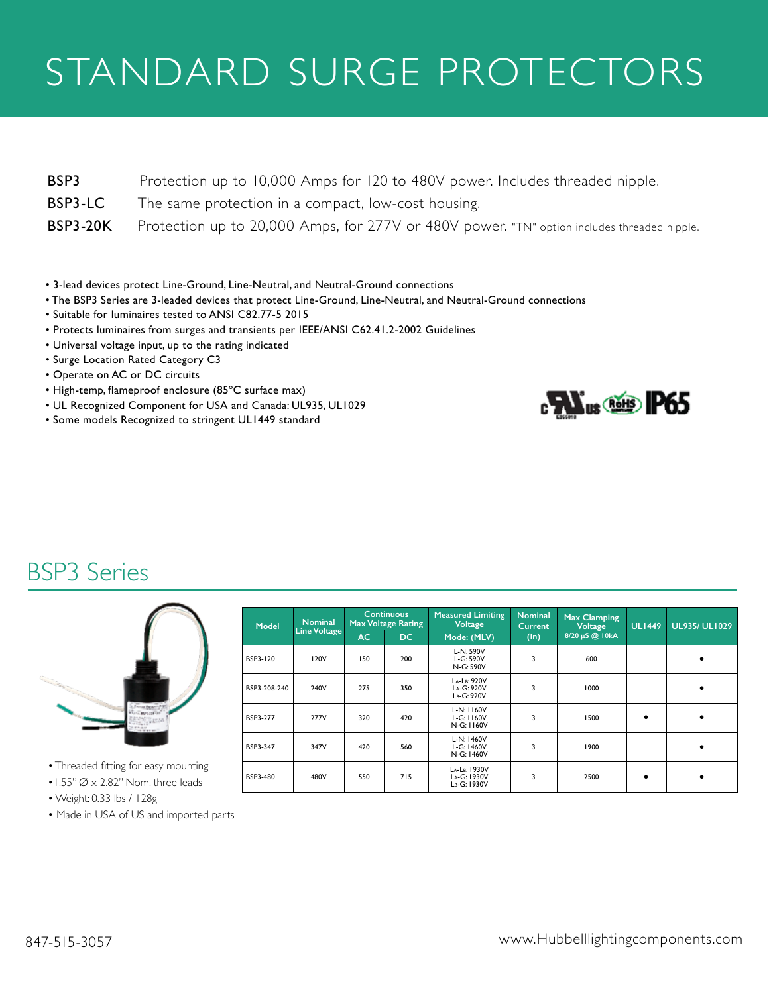# STANDARD SURGE PROTECTORS

| BSP3 | Protection up to 10,000 Amps for 120 to 480V power. Includes threaded nipple. |  |  |
|------|-------------------------------------------------------------------------------|--|--|
|      |                                                                               |  |  |

- BSP3-LC The same protection in a compact, low-cost housing.
- BSP3-20K Protection up to 20,000 Amps, for 277V or 480V power. "TN" option includes threaded nipple.
- 3-lead devices protect Line-Ground, Line-Neutral, and Neutral-Ground connections
- The BSP3 Series are 3-leaded devices that protect Line-Ground, Line-Neutral, and Neutral-Ground connections
- Suitable for luminaires tested to ANSI C82.77-5 2015
- Protects luminaires from surges and transients per IEEE/ANSI C62.41.2-2002 Guidelines
- Universal voltage input, up to the rating indicated
- Surge Location Rated Category C3
- Operate on AC or DC circuits
- High-temp, flameproof enclosure (85ºC surface max)
- UL Recognized Component for USA and Canada: UL935, UL1029
- Some models Recognized to stringent UL1449 standard



### BSP3 Series



• Threaded fitting for easy mounting  $\cdot$  1.55"  $\varnothing$   $\times$  2.82" Nom, three leads

- **Model Nominal Line Voltage Continuous Max Voltage Rating Measured Limiting Voltage Mode: (MLV) Nominal Current (In) Max Clamping Voltage 8/20 µS @ 10kA UL1449 UL935/ UL1029 AC DC** BSP3-120 120V 150 200 L-N: 590V L-G: 590V N-G: 590V  $3 \qquad 600 \qquad \qquad$  $BSP3-208-240$  240V  $240$  275  $350$ LA-LB: 920V LA-G: 920V LB-G: 920V 3  $1000$   $\left| \begin{array}{ccc} \end{array} \right|$   $\bullet$ BSP3-277 277V 320 420 L-N: 1160V L-G: 1160V N-G: 1160V 3 | 1500 |  $\bullet$  |  $\bullet$ BSP3-347 347V 420 560 L-N: 1460V L-G: 1460V N-G: 1460V 3 | 1900 | | | BSP3-480 480V 550 715 La-Lb: 1930V<br>La-G: 1930V<br>Lb-G: 1930V 3 2500  $\bullet$   $\bullet$
- Weight: 0.33 lbs / 128g
- Made in USA of US and imported parts